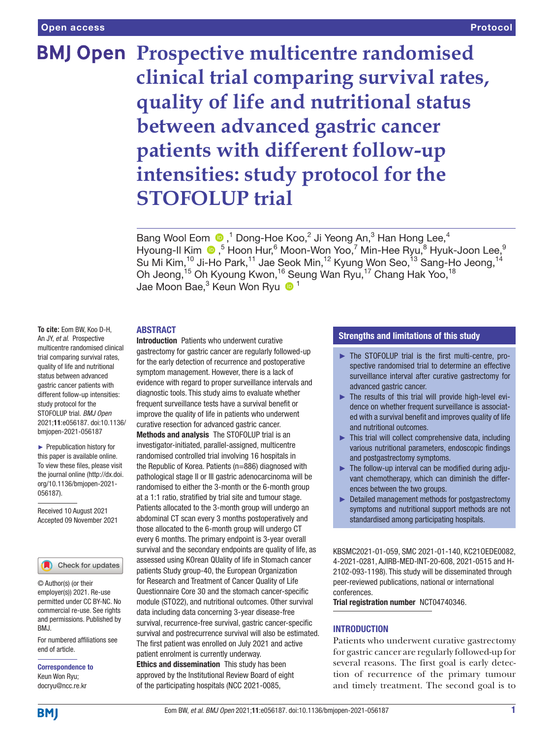# **BMJ Open Prospective multicentre randomised clinical trial comparing survival rates, quality of life and nutritional status between advanced gastric cancer patients with different follow-up intensities: study protocol for the STOFOLUP trial**

Bang Wool Eom  $\bigcirc$ , 1 Dong-Hoe Koo, 2 Ji Yeong An, 3 Han Hong Lee, 4 Hyoung-IlKim ®,<sup>5</sup> Hoon Hur,<sup>6</sup> Moon-Won Yoo,<sup>7</sup> Min-Hee Ryu,<sup>8</sup> Hyuk-Joon Lee,<sup>9</sup> Su Mi Kim,<sup>10</sup> Ji-Ho Park,<sup>11</sup> Jae Seok Min,<sup>12</sup> Kyung Won Seo,<sup>13</sup> Sang-Ho Jeong,<sup>14</sup> Oh Jeong,<sup>15</sup> Oh Kyoung Kwon,<sup>16</sup> Seung Wan Ryu,<sup>17</sup> Chang Hak Yoo,<sup>18</sup> Jae Moon Bae,<sup>3</sup> Keun Won Ryu O<sup>1</sup>

## **ABSTRACT**

**To cite:** Eom BW, Koo D-H, An JY, *et al*. Prospective multicentre randomised clinical trial comparing survival rates, quality of life and nutritional status between advanced gastric cancer patients with different follow-up intensities: study protocol for the STOFOLUP trial. *BMJ Open* 2021;11:e056187. doi:10.1136/ bmjopen-2021-056187

► Prepublication history for this paper is available online. To view these files, please visit the journal online [\(http://dx.doi.](http://dx.doi.org/10.1136/bmjopen-2021-056187) [org/10.1136/bmjopen-2021-](http://dx.doi.org/10.1136/bmjopen-2021-056187) [056187\)](http://dx.doi.org/10.1136/bmjopen-2021-056187).

Received 10 August 2021 Accepted 09 November 2021



© Author(s) (or their employer(s)) 2021. Re-use permitted under CC BY-NC. No commercial re-use. See rights and permissions. Published by BMJ.

For numbered affiliations see end of article.

Correspondence to Keun Won Ryu; docryu@ncc.re.kr

Introduction Patients who underwent curative gastrectomy for gastric cancer are regularly followed-up for the early detection of recurrence and postoperative symptom management. However, there is a lack of evidence with regard to proper surveillance intervals and diagnostic tools. This study aims to evaluate whether frequent surveillance tests have a survival benefit or improve the quality of life in patients who underwent curative resection for advanced gastric cancer.

Methods and analysis The STOFOLUP trial is an investigator-initiated, parallel-assigned, multicentre randomised controlled trial involving 16 hospitals in the Republic of Korea. Patients (n=886) diagnosed with pathological stage II or III gastric adenocarcinoma will be randomised to either the 3-month or the 6-month group at a 1:1 ratio, stratified by trial site and tumour stage. Patients allocated to the 3-month group will undergo an abdominal CT scan every 3 months postoperatively and those allocated to the 6-month group will undergo CT every 6 months. The primary endpoint is 3-year overall survival and the secondary endpoints are quality of life, as assessed using KOrean QUality of life in Stomach cancer patients Study group-40, the European Organization for Research and Treatment of Cancer Quality of Life Questionnaire Core 30 and the stomach cancer-specific module (STO22), and nutritional outcomes. Other survival data including data concerning 3-year disease-free survival, recurrence-free survival, gastric cancer-specific survival and postrecurrence survival will also be estimated. The first patient was enrolled on July 2021 and active patient enrolment is currently underway.

Ethics and dissemination This study has been approved by the Institutional Review Board of eight of the participating hospitals (NCC 2021-0085,

## Strengths and limitations of this study

- ► The STOFOLUP trial is the first multi-centre, prospective randomised trial to determine an effective surveillance interval after curative gastrectomy for advanced gastric cancer.
- $\blacktriangleright$  The results of this trial will provide high-level evidence on whether frequent surveillance is associated with a survival benefit and improves quality of life and nutritional outcomes.
- $\blacktriangleright$  This trial will collect comprehensive data, including various nutritional parameters, endoscopic findings and postgastrectomy symptoms.
- $\blacktriangleright$  The follow-up interval can be modified during adjuvant chemotherapy, which can diminish the differences between the two groups.
- ► Detailed management methods for postgastrectomy symptoms and nutritional support methods are not standardised among participating hospitals.

KBSMC2021-01-059, SMC 2021-01-140, KC21OEDE0082, 4-2021-0281, AJIRB-MED-INT-20-608, 2021-0515 and H-2102-093-1198). This study will be disseminated through peer-reviewed publications, national or international conferences.

Trial registration number [NCT04740346.](NCT04740346)

## INTRODUCTION

Patients who underwent curative gastrectomy for gastric cancer are regularly followed-up for several reasons. The first goal is early detection of recurrence of the primary tumour and timely treatment. The second goal is to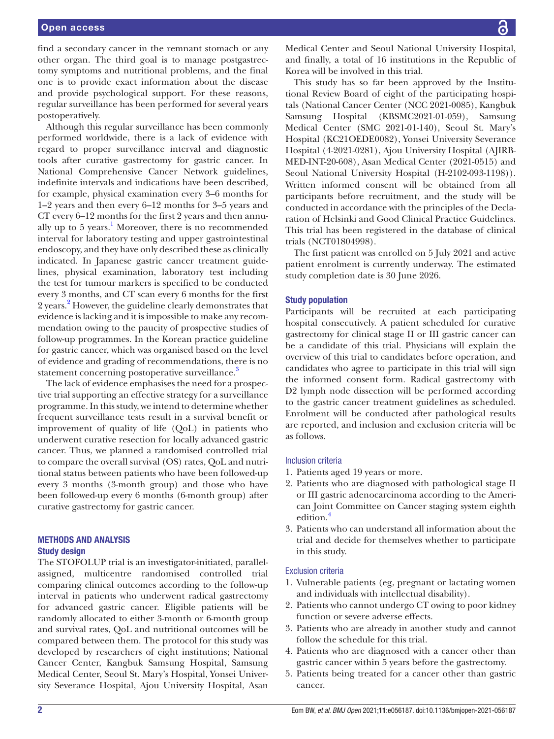find a secondary cancer in the remnant stomach or any other organ. The third goal is to manage postgastrectomy symptoms and nutritional problems, and the final one is to provide exact information about the disease and provide psychological support. For these reasons, regular surveillance has been performed for several years postoperatively.

Although this regular surveillance has been commonly performed worldwide, there is a lack of evidence with regard to proper surveillance interval and diagnostic tools after curative gastrectomy for gastric cancer. In National Comprehensive Cancer Network guidelines, indefinite intervals and indications have been described, for example, physical examination every 3–6 months for 1–2 years and then every 6–12 months for 3–5 years and CT every 6–12 months for the first 2 years and then annu-ally up to 5 years.<sup>[1](#page-6-0)</sup> Moreover, there is no recommended interval for laboratory testing and upper gastrointestinal endoscopy, and they have only described these as clinically indicated. In Japanese gastric cancer treatment guidelines, physical examination, laboratory test including the test for tumour markers is specified to be conducted every 3 months, and CT scan every 6 months for the first 2 years.<sup>2</sup> However, the guideline clearly demonstrates that evidence is lacking and it is impossible to make any recommendation owing to the paucity of prospective studies of follow-up programmes. In the Korean practice guideline for gastric cancer, which was organised based on the level of evidence and grading of recommendations, there is no statement concerning postoperative surveillance.<sup>[3](#page-6-2)</sup>

The lack of evidence emphasises the need for a prospective trial supporting an effective strategy for a surveillance programme. In this study, we intend to determine whether frequent surveillance tests result in a survival benefit or improvement of quality of life (QoL) in patients who underwent curative resection for locally advanced gastric cancer. Thus, we planned a randomised controlled trial to compare the overall survival (OS) rates, QoL and nutritional status between patients who have been followed-up every 3 months (3-month group) and those who have been followed-up every 6 months (6-month group) after curative gastrectomy for gastric cancer.

## METHODS AND ANALYSIS Study design

The STOFOLUP trial is an investigator-initiated, parallelassigned, multicentre randomised controlled trial comparing clinical outcomes according to the follow-up interval in patients who underwent radical gastrectomy for advanced gastric cancer. Eligible patients will be randomly allocated to either 3-month or 6-month group and survival rates, QoL and nutritional outcomes will be compared between them. The protocol for this study was developed by researchers of eight institutions; National Cancer Center, Kangbuk Samsung Hospital, Samsung Medical Center, Seoul St. Mary's Hospital, Yonsei University Severance Hospital, Ajou University Hospital, Asan

Medical Center and Seoul National University Hospital, and finally, a total of 16 institutions in the Republic of Korea will be involved in this trial.

This study has so far been approved by the Institutional Review Board of eight of the participating hospitals (National Cancer Center (NCC 2021-0085), Kangbuk Samsung Hospital (KBSMC2021-01-059), Samsung Medical Center (SMC 2021-01-140), Seoul St. Mary's Hospital (KC21OEDE0082), Yonsei University Severance Hospital (4-2021-0281), Ajou University Hospital (AJIRB-MED-INT-20-608), Asan Medical Center (2021-0515) and Seoul National University Hospital (H-2102-093-1198)). Written informed consent will be obtained from all participants before recruitment, and the study will be conducted in accordance with the principles of the Declaration of Helsinki and Good Clinical Practice Guidelines. This trial has been registered in the database of clinical trials (NCT01804998).

The first patient was enrolled on 5 July 2021 and active patient enrolment is currently underway. The estimated study completion date is 30 June 2026.

## Study population

Participants will be recruited at each participating hospital consecutively. A patient scheduled for curative gastrectomy for clinical stage II or III gastric cancer can be a candidate of this trial. Physicians will explain the overview of this trial to candidates before operation, and candidates who agree to participate in this trial will sign the informed consent form. Radical gastrectomy with D2 lymph node dissection will be performed according to the gastric cancer treatment guidelines as scheduled. Enrolment will be conducted after pathological results are reported, and inclusion and exclusion criteria will be as follows.

#### Inclusion criteria

- 1. Patients aged 19 years or more.
- 2. Patients who are diagnosed with pathological stage II or III gastric adenocarcinoma according to the American Joint Committee on Cancer staging system eighth edition.<sup>[4](#page-6-3)</sup>
- 3. Patients who can understand all information about the trial and decide for themselves whether to participate in this study.

#### Exclusion criteria

- 1. Vulnerable patients (eg, pregnant or lactating women and individuals with intellectual disability).
- 2. Patients who cannot undergo CT owing to poor kidney function or severe adverse effects.
- 3. Patients who are already in another study and cannot follow the schedule for this trial.
- 4. Patients who are diagnosed with a cancer other than gastric cancer within 5 years before the gastrectomy.
- 5. Patients being treated for a cancer other than gastric cancer.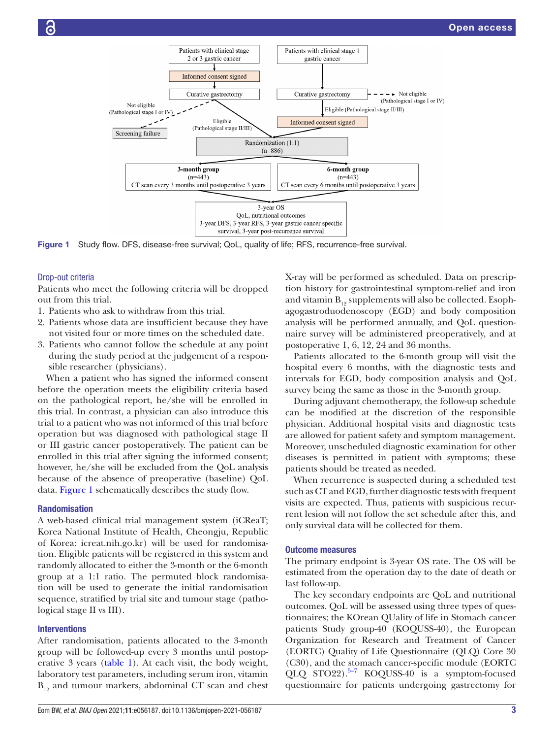

Figure 1 Study flow. DFS, disease-free survival; QoL, quality of life; RFS, recurrence-free survival.

#### Drop-out criteria

Patients who meet the following criteria will be dropped out from this trial.

- 1. Patients who ask to withdraw from this trial.
- 2. Patients whose data are insufficient because they have not visited four or more times on the scheduled date.
- 3. Patients who cannot follow the schedule at any point during the study period at the judgement of a responsible researcher (physicians).

When a patient who has signed the informed consent before the operation meets the eligibility criteria based on the pathological report, he/she will be enrolled in this trial. In contrast, a physician can also introduce this trial to a patient who was not informed of this trial before operation but was diagnosed with pathological stage II or III gastric cancer postoperatively. The patient can be enrolled in this trial after signing the informed consent; however, he/she will be excluded from the QoL analysis because of the absence of preoperative (baseline) QoL data. [Figure](#page-2-0) 1 schematically describes the study flow.

#### Randomisation

A web-based clinical trial management system (iCReaT; Korea National Institute of Health, Cheongju, Republic of Korea: icreat.nih.go.kr) will be used for randomisation. Eligible patients will be registered in this system and randomly allocated to either the 3-month or the 6-month group at a 1:1 ratio. The permuted block randomisation will be used to generate the initial randomisation sequence, stratified by trial site and tumour stage (pathological stage II vs III).

#### **Interventions**

After randomisation, patients allocated to the 3-month group will be followed-up every 3 months until postoperative 3 years [\(table](#page-3-0) 1). At each visit, the body weight, laboratory test parameters, including serum iron, vitamin  $B_{12}$  and tumour markers, abdominal CT scan and chest

<span id="page-2-0"></span>X-ray will be performed as scheduled. Data on prescription history for gastrointestinal symptom-relief and iron and vitamin  $B_{12}$  supplements will also be collected. Esophagogastroduodenoscopy (EGD) and body composition analysis will be performed annually, and QoL questionnaire survey will be administered preoperatively, and at postoperative 1, 6, 12, 24 and 36 months.

Patients allocated to the 6-month group will visit the hospital every 6 months, with the diagnostic tests and intervals for EGD, body composition analysis and QoL survey being the same as those in the 3-month group.

During adjuvant chemotherapy, the follow-up schedule can be modified at the discretion of the responsible physician. Additional hospital visits and diagnostic tests are allowed for patient safety and symptom management. Moreover, unscheduled diagnostic examination for other diseases is permitted in patient with symptoms; these patients should be treated as needed.

When recurrence is suspected during a scheduled test such as CT and EGD, further diagnostic tests with frequent visits are expected. Thus, patients with suspicious recurrent lesion will not follow the set schedule after this, and only survival data will be collected for them.

#### Outcome measures

The primary endpoint is 3-year OS rate. The OS will be estimated from the operation day to the date of death or last follow-up.

The key secondary endpoints are QoL and nutritional outcomes. QoL will be assessed using three types of questionnaires; the KOrean QUality of life in Stomach cancer patients Study group-40 (KOQUSS-40), the European Organization for Research and Treatment of Cancer (EORTC) Quality of Life Questionnaire (QLQ) Core 30 (C30), and the stomach cancer-specific module (EORTC QLQ STO22). $5-7$  KOQUSS-40 is a symptom-focused questionnaire for patients undergoing gastrectomy for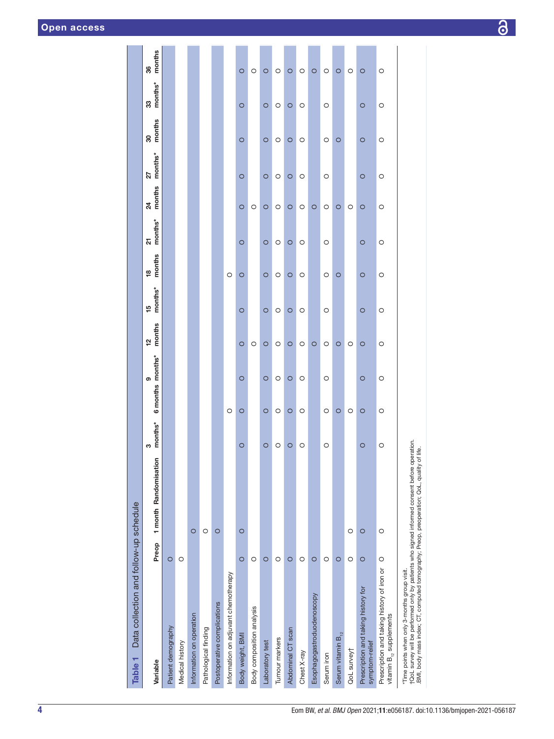| Data collection and follow-up schedule<br>Table 1                          |         |                       |              |                       |             |               |                              |              |              |               |             |               |              |
|----------------------------------------------------------------------------|---------|-----------------------|--------------|-----------------------|-------------|---------------|------------------------------|--------------|--------------|---------------|-------------|---------------|--------------|
| Variable                                                                   | Preop   | 1 month Randomisation | months*<br>S | 6 months months*<br>ၜ | months<br>얻 | months*<br>15 | months<br>$\frac{\infty}{2}$ | $21$ months* | months<br>24 | months*<br>27 | months<br>8 | months*<br>33 | months<br>36 |
| Patient demography                                                         | $\circ$ |                       |              |                       |             |               |                              |              |              |               |             |               |              |
| Medical history                                                            | O       |                       |              |                       |             |               |                              |              |              |               |             |               |              |
| Information on operation                                                   |         | $\circ$               |              |                       |             |               |                              |              |              |               |             |               |              |
| Pathological finding                                                       |         | O                     |              |                       |             |               |                              |              |              |               |             |               |              |
| Postoperative complications                                                |         | $\circ$               |              |                       |             |               |                              |              |              |               |             |               |              |
| Information on adjuvant chemotherapy                                       |         |                       |              | $\circ$               |             |               | $\circ$                      |              |              |               |             |               |              |
| Body weight, BMI                                                           | $\circ$ | $\circ$               | $\circ$      | $\circ$<br>$\circ$    | $\circ$     | $\circ$       | $\circ$                      | $\circ$      | $\circ$      | $\circ$       | $\circ$     | $\circ$       | $\circ$      |
| Body composition analysis                                                  | $\circ$ |                       |              |                       | O           |               |                              |              | O            |               |             |               | O            |
| Laboratory test                                                            | $\circ$ |                       | $\circ$      | $\circ$<br>$\circ$    | $\circ$     | $\circ$       | $\circ$                      | $\circ$      | $\circ$      | $\circ$       | $\circ$     | $\circ$       | $\circ$      |
| Tumour markers                                                             | $\circ$ |                       | $\circ$      | $\circ$<br>$\circ$    | $\circ$     | $\circ$       | $\circ$                      | $\circ$      | $\circ$      | $\circ$       | $\circ$     | $\circ$       | $\circ$      |
| Abdominal CT scan                                                          | $\circ$ |                       | $\circ$      | $\circ$<br>$\circ$    | $\circ$     | $\circ$       | $\circ$                      | $\circ$      | $\circ$      | $\circ$       | $\circ$     | $\circ$       | $\circ$      |
| Chest X-ray                                                                | O       |                       | O            | $\circ$<br>O          | $\circ$     | O             | $\circ$                      | $\circ$      | $\circ$      | O             | $\circ$     | $\circ$       | $\circ$      |
| Esophagogastroduodenoscopy                                                 | $\circ$ |                       |              |                       | $\circ$     |               |                              |              | $\circ$      |               |             |               | $\circ$      |
| Serum iron                                                                 | $\circ$ |                       | O            | O<br>O                | O           | $\circ$       | O                            | $\circ$      | $\circ$      | $\circ$       | $\circ$     | $\circ$       | O            |
| Serum vitamin $B_{12}$                                                     | $\circ$ |                       |              | $\circ$               | $\circ$     |               | $\circ$                      |              | $\circ$      |               | $\circ$     |               | $\circ$      |
| QoL survey†                                                                | O       | O                     |              | O                     | O           |               |                              |              | $\circ$      |               |             |               | $\circ$      |
| Prescription and taking history for<br>symptom-relief                      | $\circ$ | $\circ$               | $\circ$      | $\circ$<br>O          | O           | $\circ$       | $\circ$                      | $\circ$      | $\circ$      | $\circ$       | $\circ$     | $\circ$       | O            |
| Prescription and taking history of iron or<br>vitamin $B_{12}$ supplements | $\circ$ | O                     | $\circ$      | $\circ$<br>$\circ$    | $\circ$     | $\circ$       | $\circ$                      | $\circ$      | $\circ$      | $\circ$       | $\circ$     | $\circ$       | $\circ$      |
| ļ                                                                          |         |                       |              |                       |             |               |                              |              |              |               |             |               |              |

\*Time points when only 3-months group visit.<br>†QoL survey will be performed only by patients who signed informed consent before operation.<br>.BMI, body mass index; CT, computed tomography; Preop, preoperation; QoL, quality o †QoL survey will be performed only by patients who signed informed consent before operation. \*Time points when only 3-months group visit.

<span id="page-3-0"></span>

.BMI, body mass index; CT, computed tomography; Preop, preoperation; QoL, quality of life.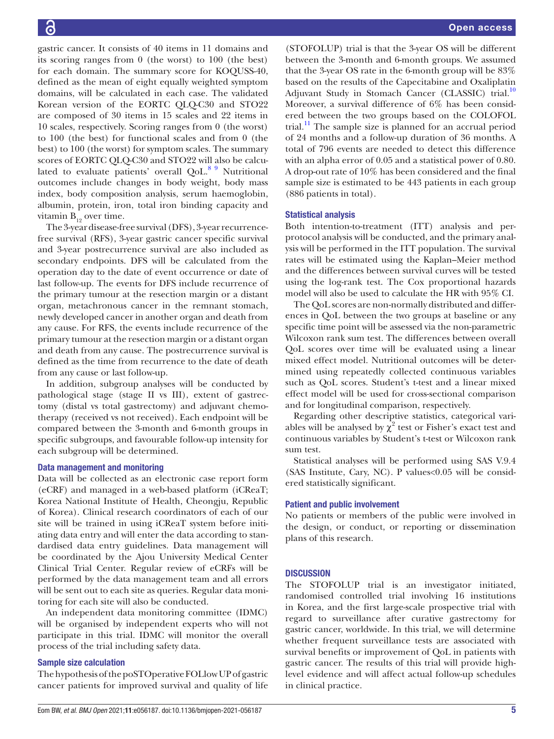gastric cancer. It consists of 40 items in 11 domains and its scoring ranges from 0 (the worst) to 100 (the best) for each domain. The summary score for KOQUSS-40, defined as the mean of eight equally weighted symptom domains, will be calculated in each case. The validated Korean version of the EORTC QLQ-C30 and STO22 are composed of 30 items in 15 scales and 22 items in 10 scales, respectively. Scoring ranges from 0 (the worst) to 100 (the best) for functional scales and from 0 (the best) to 100 (the worst) for symptom scales. The summary scores of EORTC QLQ-C30 and STO22 will also be calcu-lated to evaluate patients' overall QoL.<sup>[8 9](#page-6-5)</sup> Nutritional outcomes include changes in body weight, body mass index, body composition analysis, serum haemoglobin, albumin, protein, iron, total iron binding capacity and vitamin  $B_{19}$  over time.

The 3-year disease-free survival (DFS), 3-year recurrencefree survival (RFS), 3-year gastric cancer specific survival and 3-year postrecurrence survival are also included as secondary endpoints. DFS will be calculated from the operation day to the date of event occurrence or date of last follow-up. The events for DFS include recurrence of the primary tumour at the resection margin or a distant organ, metachronous cancer in the remnant stomach, newly developed cancer in another organ and death from any cause. For RFS, the events include recurrence of the primary tumour at the resection margin or a distant organ and death from any cause. The postrecurrence survival is defined as the time from recurrence to the date of death from any cause or last follow-up.

In addition, subgroup analyses will be conducted by pathological stage (stage II vs III), extent of gastrectomy (distal vs total gastrectomy) and adjuvant chemotherapy (received vs not received). Each endpoint will be compared between the 3-month and 6-month groups in specific subgroups, and favourable follow-up intensity for each subgroup will be determined.

## Data management and monitoring

Data will be collected as an electronic case report form (eCRF) and managed in a web-based platform (iCReaT; Korea National Institute of Health, Cheongju, Republic of Korea). Clinical research coordinators of each of our site will be trained in using iCReaT system before initiating data entry and will enter the data according to standardised data entry guidelines. Data management will be coordinated by the Ajou University Medical Center Clinical Trial Center. Regular review of eCRFs will be performed by the data management team and all errors will be sent out to each site as queries. Regular data monitoring for each site will also be conducted.

An independent data monitoring committee (IDMC) will be organised by independent experts who will not participate in this trial. IDMC will monitor the overall process of the trial including safety data.

# Sample size calculation

The hypothesis of the poSTOperative FOLlow UP of gastric cancer patients for improved survival and quality of life

(STOFOLUP) trial is that the 3-year OS will be different between the 3-month and 6-month groups. We assumed that the 3-year OS rate in the 6-month group will be 83% based on the results of the Capecitabine and Oxaliplatin Adjuvant Study in Stomach Cancer (CLASSIC) trial.<sup>[10](#page-6-6)</sup> Moreover, a survival difference of 6% has been considered between the two groups based on the COLOFOL trial. $11$  The sample size is planned for an accrual period of 24 months and a follow-up duration of 36 months. A total of 796 events are needed to detect this difference with an alpha error of 0.05 and a statistical power of 0.80. A drop-out rate of 10% has been considered and the final sample size is estimated to be 443 patients in each group (886 patients in total).

## Statistical analysis

Both intention-to-treatment (ITT) analysis and perprotocol analysis will be conducted, and the primary analysis will be performed in the ITT population. The survival rates will be estimated using the Kaplan–Meier method and the differences between survival curves will be tested using the log-rank test. The Cox proportional hazards model will also be used to calculate the HR with 95% CI.

The QoL scores are non-normally distributed and differences in QoL between the two groups at baseline or any specific time point will be assessed via the non-parametric Wilcoxon rank sum test. The differences between overall QoL scores over time will be evaluated using a linear mixed effect model. Nutritional outcomes will be determined using repeatedly collected continuous variables such as QoL scores. Student's t-test and a linear mixed effect model will be used for cross-sectional comparison and for longitudinal comparison, respectively.

Regarding other descriptive statistics, categorical variables will be analysed by  $\chi^2$  test or Fisher's exact test and continuous variables by Student's t-test or Wilcoxon rank sum test.

Statistical analyses will be performed using SAS V.9.4 (SAS Institute, Cary, NC). P values<0.05 will be considered statistically significant.

# Patient and public involvement

No patients or members of the public were involved in the design, or conduct, or reporting or dissemination plans of this research.

# **DISCUSSION**

The STOFOLUP trial is an investigator initiated, randomised controlled trial involving 16 institutions in Korea, and the first large-scale prospective trial with regard to surveillance after curative gastrectomy for gastric cancer, worldwide. In this trial, we will determine whether frequent surveillance tests are associated with survival benefits or improvement of QoL in patients with gastric cancer. The results of this trial will provide highlevel evidence and will affect actual follow-up schedules in clinical practice.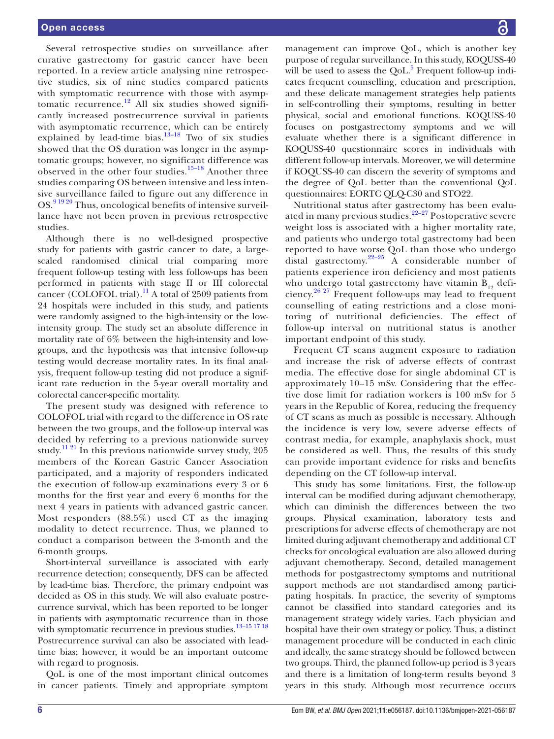Several retrospective studies on surveillance after curative gastrectomy for gastric cancer have been reported. In a review article analysing nine retrospective studies, six of nine studies compared patients with symptomatic recurrence with those with asymptomatic recurrence.<sup>12</sup> All six studies showed significantly increased postrecurrence survival in patients with asymptomatic recurrence, which can be entirely explained by lead-time bias. $13-18$  Two of six studies showed that the OS duration was longer in the asymptomatic groups; however, no significant difference was observed in the other four studies.<sup>[15–18](#page-6-10)</sup> Another three studies comparing OS between intensive and less intensive surveillance failed to figure out any difference in OS.<sup>[9 19 20](#page-6-11)</sup> Thus, oncological benefits of intensive surveillance have not been proven in previous retrospective studies.

Although there is no well-designed prospective study for patients with gastric cancer to date, a largescaled randomised clinical trial comparing more frequent follow-up testing with less follow-ups has been performed in patients with stage II or III colorectal cancer (COLOFOL trial).<sup>[11](#page-6-7)</sup> A total of 2509 patients from 24 hospitals were included in this study, and patients were randomly assigned to the high-intensity or the lowintensity group. The study set an absolute difference in mortality rate of 6% between the high-intensity and lowgroups, and the hypothesis was that intensive follow-up testing would decrease mortality rates. In its final analysis, frequent follow-up testing did not produce a significant rate reduction in the 5-year overall mortality and colorectal cancer-specific mortality.

The present study was designed with reference to COLOFOL trial with regard to the difference in OS rate between the two groups, and the follow-up interval was decided by referring to a previous nationwide survey study.<sup>11 21</sup> In this previous nationwide survey study, 205 members of the Korean Gastric Cancer Association participated, and a majority of responders indicated the execution of follow-up examinations every 3 or 6 months for the first year and every 6 months for the next 4 years in patients with advanced gastric cancer. Most responders (88.5%) used CT as the imaging modality to detect recurrence. Thus, we planned to conduct a comparison between the 3-month and the 6-month groups.

Short-interval surveillance is associated with early recurrence detection; consequently, DFS can be affected by lead-time bias. Therefore, the primary endpoint was decided as OS in this study. We will also evaluate postrecurrence survival, which has been reported to be longer in patients with asymptomatic recurrence than in those with symptomatic recurrence in previous studies.<sup>13-15 17 18</sup> Postrecurrence survival can also be associated with leadtime bias; however, it would be an important outcome with regard to prognosis.

QoL is one of the most important clinical outcomes in cancer patients. Timely and appropriate symptom

management can improve QoL, which is another key purpose of regular surveillance. In this study, KOQUSS-40 will be used to assess the  $QoL$ <sup>5</sup> Frequent follow-up indicates frequent counselling, education and prescription, and these delicate management strategies help patients in self-controlling their symptoms, resulting in better physical, social and emotional functions. KOQUSS-40 focuses on postgastrectomy symptoms and we will evaluate whether there is a significant difference in KOQUSS-40 questionnaire scores in individuals with different follow-up intervals. Moreover, we will determine if KOQUSS-40 can discern the severity of symptoms and the degree of QoL better than the conventional QoL questionnaires: EORTC QLQ-C30 and STO22.

Nutritional status after gastrectomy has been evaluated in many previous studies.<sup>22-27</sup> Postoperative severe weight loss is associated with a higher mortality rate, and patients who undergo total gastrectomy had been reported to have worse QoL than those who undergo distal gastrectomy.[22–25](#page-7-0) A considerable number of patients experience iron deficiency and most patients who undergo total gastrectomy have vitamin  $B_{19}$  deficiency. $26 \frac{27}{7}$  Frequent follow-ups may lead to frequent counselling of eating restrictions and a close monitoring of nutritional deficiencies. The effect of follow-up interval on nutritional status is another important endpoint of this study.

Frequent CT scans augment exposure to radiation and increase the risk of adverse effects of contrast media. The effective dose for single abdominal CT is approximately 10–15 mSv. Considering that the effective dose limit for radiation workers is 100 mSv for 5 years in the Republic of Korea, reducing the frequency of CT scans as much as possible is necessary. Although the incidence is very low, severe adverse effects of contrast media, for example, anaphylaxis shock, must be considered as well. Thus, the results of this study can provide important evidence for risks and benefits depending on the CT follow-up interval.

This study has some limitations. First, the follow-up interval can be modified during adjuvant chemotherapy, which can diminish the differences between the two groups. Physical examination, laboratory tests and prescriptions for adverse effects of chemotherapy are not limited during adjuvant chemotherapy and additional CT checks for oncological evaluation are also allowed during adjuvant chemotherapy. Second, detailed management methods for postgastrectomy symptoms and nutritional support methods are not standardised among participating hospitals. In practice, the severity of symptoms cannot be classified into standard categories and its management strategy widely varies. Each physician and hospital have their own strategy or policy. Thus, a distinct management procedure will be conducted in each clinic and ideally, the same strategy should be followed between two groups. Third, the planned follow-up period is 3 years and there is a limitation of long-term results beyond 3 years in this study. Although most recurrence occurs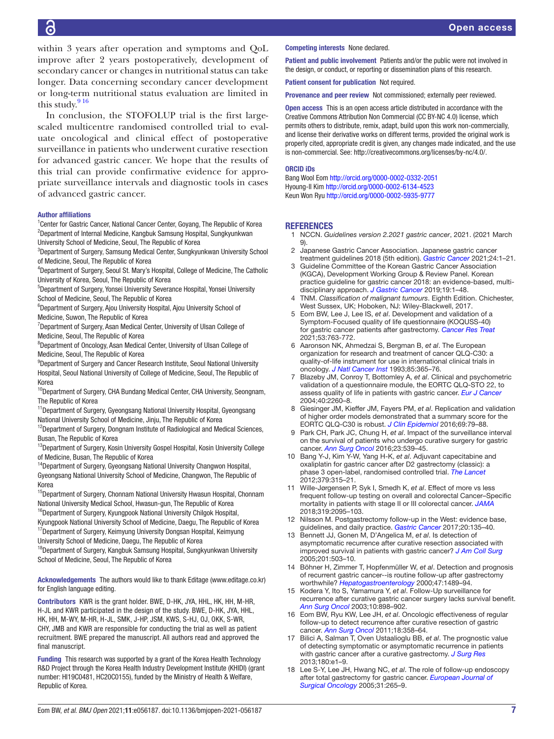within 3 years after operation and symptoms and QoL improve after 2 years postoperatively, development of secondary cancer or changes in nutritional status can take longer. Data concerning secondary cancer development or long-term nutritional status evaluation are limited in this study. $916$ 

In conclusion, the STOFOLUP trial is the first largescaled multicentre randomised controlled trial to evaluate oncological and clinical effect of postoperative surveillance in patients who underwent curative resection for advanced gastric cancer. We hope that the results of this trial can provide confirmative evidence for appropriate surveillance intervals and diagnostic tools in cases of advanced gastric cancer.

#### Author affiliations

<sup>1</sup> Center for Gastric Cancer, National Cancer Center, Goyang, The Republic of Korea 2 Department of Internal Medicine, Kangbuk Samsung Hospital, Sungkyunkwan University School of Medicine, Seoul, The Republic of Korea

3 Department of Surgery, Samsung Medical Center, Sungkyunkwan University School of Medicine, Seoul, The Republic of Korea

<sup>4</sup>Department of Surgery, Seoul St. Mary's Hospital, College of Medicine, The Catholic University of Korea, Seoul, The Republic of Korea

5 Department of Surgery, Yonsei University Severance Hospital, Yonsei University School of Medicine, Seoul, The Republic of Korea

<sup>6</sup>Department of Surgery, Ajou University Hospital, Ajou University School of Medicine, Suwon, The Republic of Korea

<sup>7</sup>Department of Surgery, Asan Medical Center, University of Ulsan College of Medicine, Seoul, The Republic of Korea

<sup>8</sup>Department of Oncology, Asan Medical Center, University of Ulsan College of Medicine, Seoul, The Republic of Korea

<sup>9</sup>Department of Surgery and Cancer Research Institute, Seoul National University Hospital, Seoul National University of College of Medicine, Seoul, The Republic of Korea

<sup>10</sup>Department of Surgery, CHA Bundang Medical Center, CHA University, Seongnam, The Republic of Korea

<sup>11</sup>Department of Surgery, Gyeongsang National University Hospital, Gyeongsang National University School of Medicine, Jinju, The Republic of Korea

<sup>12</sup>Department of Surgery, Dongnam Institute of Radiological and Medical Sciences, Busan, The Republic of Korea

<sup>13</sup>Department of Surgery, Kosin University Gospel Hospital, Kosin University College of Medicine, Busan, The Republic of Korea

<sup>14</sup>Department of Surgery, Gyeongsang National University Changwon Hospital, Gyeongsang National University School of Medicine, Changwon, The Republic of Korea

<sup>15</sup>Department of Surgery, Chonnam National University Hwasun Hospital, Chonnam National University Medical School, Hwasun-gun, The Republic of Korea

<sup>16</sup>Department of Surgery, Kyungpook National University Chilgok Hospital, Kyungpook National University School of Medicine, Daegu, The Republic of Korea

<sup>17</sup>Department of Surgery, Keimyung University Dongsan Hospital, Keimyung University School of Medicine, Daegu, The Republic of Korea

<sup>18</sup>Department of Surgery, Kangbuk Samsung Hospital, Sungkyunkwan University School of Medicine, Seoul, The Republic of Korea

Acknowledgements The authors would like to thank Editage (www.editage.co.kr) for English language editing.

Contributors KWR is the grant holder. BWE, D-HK, JYA, HHL, HK, HH, M-HR, H-JL and KWR participated in the design of the study. BWE, D-HK, JYA, HHL, HK, HH, M-WY, M-HR, H-JL, SMK, J-HP, JSM, KWS, S-HJ, OJ, OKK, S-WR, CHY, JMB and KWR are responsible for conducting the trial as well as patient recruitment. BWE prepared the manuscript. All authors read and approved the final manuscript.

Funding This research was supported by a grant of the Korea Health Technology R&D Project through the Korea Health Industry Development Institute (KHIDI) (grant number: HI19C0481, HC20C0155), funded by the Ministry of Health & Welfare, Republic of Korea.

Competing interests None declared.

Patient and public involvement Patients and/or the public were not involved in the design, or conduct, or reporting or dissemination plans of this research.

Patient consent for publication Not required.

Provenance and peer review Not commissioned; externally peer reviewed.

**Open access** This is an open access article distributed in accordance with the Creative Commons Attribution Non Commercial (CC BY-NC 4.0) license, which permits others to distribute, remix, adapt, build upon this work non-commercially, and license their derivative works on different terms, provided the original work is properly cited, appropriate credit is given, any changes made indicated, and the use is non-commercial. See: [http://creativecommons.org/licenses/by-nc/4.0/.](http://creativecommons.org/licenses/by-nc/4.0/)

#### ORCID iDs

Bang Wool Eom <http://orcid.org/0000-0002-0332-2051> Hyoung-Il Kim<http://orcid.org/0000-0002-6134-4523> Keun Won Ryu<http://orcid.org/0000-0002-5935-9777>

#### **REFERENCES**

- <span id="page-6-0"></span>1 NCCN. *Guidelines version 2.2021 gastric cancer*, 2021. (2021 March 9).
- <span id="page-6-1"></span>2 Japanese Gastric Cancer Association. Japanese gastric cancer treatment guidelines 2018 (5th edition). *[Gastric Cancer](http://dx.doi.org/10.1007/s10120-020-01042-y)* 2021;24:1–21.
- <span id="page-6-2"></span>3 Guideline Committee of the Korean Gastric Cancer Association (KGCA), Development Working Group & Review Panel. Korean practice guideline for gastric cancer 2018: an evidence-based, multidisciplinary approach. *[J Gastric Cancer](http://dx.doi.org/10.5230/jgc.2019.19.e8)* 2019;19:1–48.
- <span id="page-6-3"></span>4 TNM. *Classification of malignant tumours*. Eighth Edition. Chichester, West Sussex, UK; Hoboken, NJ: Wiley-Blackwell, 2017.
- <span id="page-6-4"></span>5 Eom BW, Lee J, Lee IS, *et al*. Development and validation of a Symptom-Focused quality of life questionnaire (KOQUSS-40) for gastric cancer patients after gastrectomy. *[Cancer Res Treat](http://dx.doi.org/10.4143/crt.2020.1270)* 2021;53:763-772.
- 6 Aaronson NK, Ahmedzai S, Bergman B, *et al*. The European organization for research and treatment of cancer QLQ-C30: a quality-of-life instrument for use in international clinical trials in oncology. *[J Natl Cancer Inst](http://dx.doi.org/10.1093/jnci/85.5.365)* 1993;85:365–76.
- 7 Blazeby JM, Conroy T, Bottomley A, *et al*. Clinical and psychometric validation of a questionnaire module, the EORTC QLQ-STO 22, to assess quality of life in patients with gastric cancer. *Eur J Cance* 2004;40:2260–8.
- <span id="page-6-5"></span>8 Giesinger JM, Kieffer JM, Fayers PM, *et al*. Replication and validation of higher order models demonstrated that a summary score for the EORTC QLQ-C30 is robust. *[J Clin Epidemiol](http://dx.doi.org/10.1016/j.jclinepi.2015.08.007)* 2016;69:79–88.
- <span id="page-6-11"></span>9 Park CH, Park JC, Chung H, *et al*. Impact of the surveillance interval on the survival of patients who undergo curative surgery for gastric cancer. *[Ann Surg Oncol](http://dx.doi.org/10.1245/s10434-015-4866-8)* 2016;23:539–45.
- <span id="page-6-6"></span>10 Bang Y-J, Kim Y-W, Yang H-K, *et al*. Adjuvant capecitabine and oxaliplatin for gastric cancer after D2 gastrectomy (classic): a phase 3 open-label, randomised controlled trial. *[The Lancet](http://dx.doi.org/10.1016/S0140-6736(11)61873-4)* 2012;379:315–21.
- <span id="page-6-7"></span>11 Wille-Jørgensen P, Syk I, Smedh K, *et al*. Effect of more vs less frequent follow-up testing on overall and colorectal Cancer–Specific mortality in patients with stage II or III colorectal cancer. *[JAMA](http://dx.doi.org/10.1001/jama.2018.5623)* 2018;319:2095–103.
- <span id="page-6-8"></span>12 Nilsson M. Postgastrectomy follow-up in the West: evidence base, guidelines, and daily practice. *[Gastric Cancer](http://dx.doi.org/10.1007/s10120-016-0654-9)* 2017;20:135–40.
- <span id="page-6-9"></span>13 Bennett JJ, Gonen M, D'Angelica M, *et al*. Is detection of asymptomatic recurrence after curative resection associated with improved survival in patients with gastric cancer? *[J Am Coll Surg](http://dx.doi.org/10.1016/j.jamcollsurg.2005.05.033)* 2005;201:503–10.
- 14 Böhner H, Zimmer T, Hopfenmüller W, *et al*. Detection and prognosis of recurrent gastric cancer--is routine follow-up after gastrectomy worthwhile? *[Hepatogastroenterology](http://www.ncbi.nlm.nih.gov/pubmed/11100384)* 2000;47:1489–94.
- <span id="page-6-10"></span>15 Kodera Y, Ito S, Yamamura Y, *et al*. Follow-Up surveillance for recurrence after curative gastric cancer surgery lacks survival benefit. *[Ann Surg Oncol](http://dx.doi.org/10.1245/ASO.2003.12.009)* 2003;10:898–902.
- 16 Eom BW, Ryu KW, Lee JH, *et al*. Oncologic effectiveness of regular follow-up to detect recurrence after curative resection of gastric cancer. *[Ann Surg Oncol](http://dx.doi.org/10.1245/s10434-010-1395-3)* 2011;18:358–64.
- 17 Bilici A, Salman T, Oven Ustaalioglu BB, *et al*. The prognostic value of detecting symptomatic or asymptomatic recurrence in patients with gastric cancer after a curative gastrectomy. *[J Surg Res](http://dx.doi.org/10.1016/j.jss.2012.03.035)* 2013;180:e1–9.
- 18 Lee S-Y, Lee JH, Hwang NC, *et al*. The role of follow-up endoscopy after total gastrectomy for gastric cancer. *[European Journal of](http://dx.doi.org/10.1016/j.ejso.2004.11.018)  [Surgical Oncology](http://dx.doi.org/10.1016/j.ejso.2004.11.018)* 2005;31:265–9.